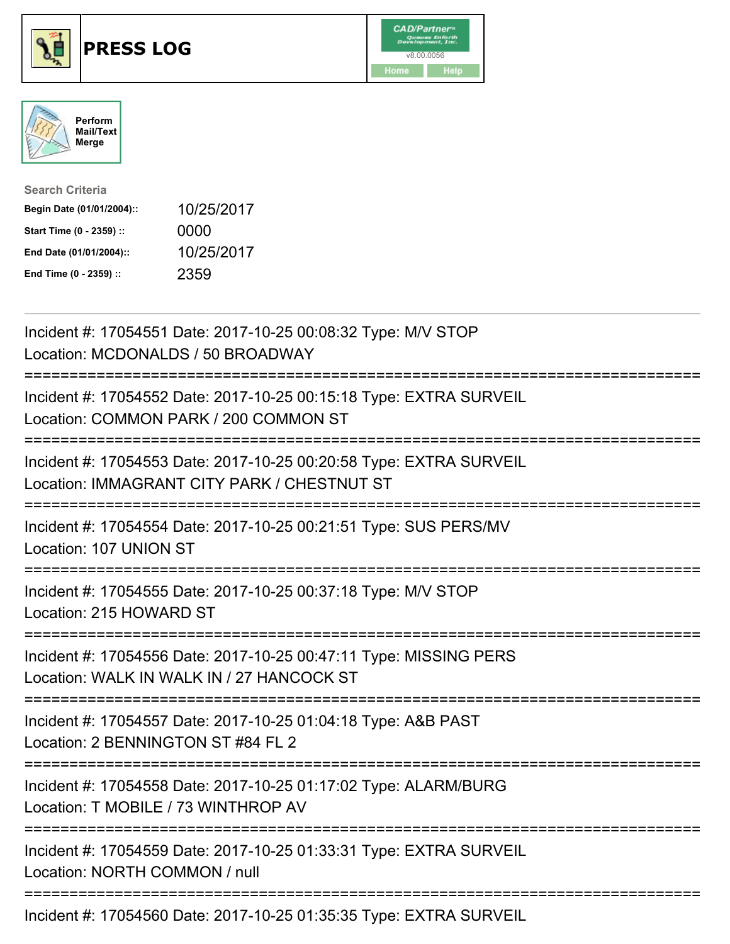





| <b>Search Criteria</b>    |            |
|---------------------------|------------|
| Begin Date (01/01/2004):: | 10/25/2017 |
| Start Time (0 - 2359) ::  | 0000       |
| End Date (01/01/2004)::   | 10/25/2017 |
| End Time (0 - 2359) ::    | 2359       |

Incident #: 17054551 Date: 2017-10-25 00:08:32 Type: M/V STOP Location: MCDONALDS / 50 BROADWAY =========================================================================== Incident #: 17054552 Date: 2017-10-25 00:15:18 Type: EXTRA SURVEIL Location: COMMON PARK / 200 COMMON ST =========================================================================== Incident #: 17054553 Date: 2017-10-25 00:20:58 Type: EXTRA SURVEIL Location: IMMAGRANT CITY PARK / CHESTNUT ST =========================================================================== Incident #: 17054554 Date: 2017-10-25 00:21:51 Type: SUS PERS/MV Location: 107 UNION ST =========================================================================== Incident #: 17054555 Date: 2017-10-25 00:37:18 Type: M/V STOP Location: 215 HOWARD ST =========================================================================== Incident #: 17054556 Date: 2017-10-25 00:47:11 Type: MISSING PERS Location: WALK IN WALK IN / 27 HANCOCK ST =========================================================================== Incident #: 17054557 Date: 2017-10-25 01:04:18 Type: A&B PAST Location: 2 BENNINGTON ST #84 FL 2 =========================================================================== Incident #: 17054558 Date: 2017-10-25 01:17:02 Type: ALARM/BURG Location: T MOBILE / 73 WINTHROP AV =========================================================================== Incident #: 17054559 Date: 2017-10-25 01:33:31 Type: EXTRA SURVEIL Location: NORTH COMMON / null =========================================================================== Incident #: 17054560 Date: 2017-10-25 01:35:35 Type: EXTRA SURVEIL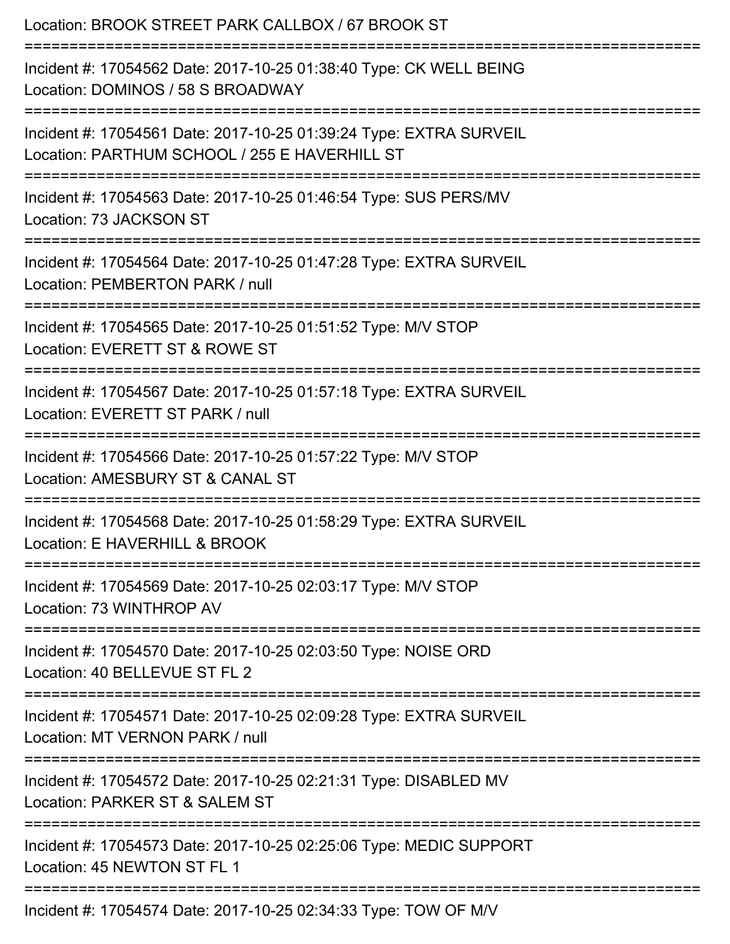| Location: BROOK STREET PARK CALLBOX / 67 BROOK ST                                                                                                                                       |
|-----------------------------------------------------------------------------------------------------------------------------------------------------------------------------------------|
| Incident #: 17054562 Date: 2017-10-25 01:38:40 Type: CK WELL BEING<br>Location: DOMINOS / 58 S BROADWAY                                                                                 |
| Incident #: 17054561 Date: 2017-10-25 01:39:24 Type: EXTRA SURVEIL<br>Location: PARTHUM SCHOOL / 255 E HAVERHILL ST<br>:================================<br>=========================== |
| Incident #: 17054563 Date: 2017-10-25 01:46:54 Type: SUS PERS/MV<br>Location: 73 JACKSON ST                                                                                             |
| Incident #: 17054564 Date: 2017-10-25 01:47:28 Type: EXTRA SURVEIL<br>Location: PEMBERTON PARK / null                                                                                   |
| Incident #: 17054565 Date: 2017-10-25 01:51:52 Type: M/V STOP<br>Location: EVERETT ST & ROWE ST                                                                                         |
| Incident #: 17054567 Date: 2017-10-25 01:57:18 Type: EXTRA SURVEIL<br>Location: EVERETT ST PARK / null                                                                                  |
| Incident #: 17054566 Date: 2017-10-25 01:57:22 Type: M/V STOP<br>Location: AMESBURY ST & CANAL ST                                                                                       |
| Incident #: 17054568 Date: 2017-10-25 01:58:29 Type: EXTRA SURVEIL<br>Location: E HAVERHILL & BROOK                                                                                     |
| Incident #: 17054569 Date: 2017-10-25 02:03:17 Type: M/V STOP<br>Location: 73 WINTHROP AV                                                                                               |
| Incident #: 17054570 Date: 2017-10-25 02:03:50 Type: NOISE ORD<br>Location: 40 BELLEVUE ST FL 2                                                                                         |
| Incident #: 17054571 Date: 2017-10-25 02:09:28 Type: EXTRA SURVEIL<br>Location: MT VERNON PARK / null                                                                                   |
| Incident #: 17054572 Date: 2017-10-25 02:21:31 Type: DISABLED MV<br>Location: PARKER ST & SALEM ST                                                                                      |
| Incident #: 17054573 Date: 2017-10-25 02:25:06 Type: MEDIC SUPPORT<br>Location: 45 NEWTON ST FL 1                                                                                       |
| Incident #: 17054574 Date: 2017-10-25 02:34:33 Type: TOW OF M/V                                                                                                                         |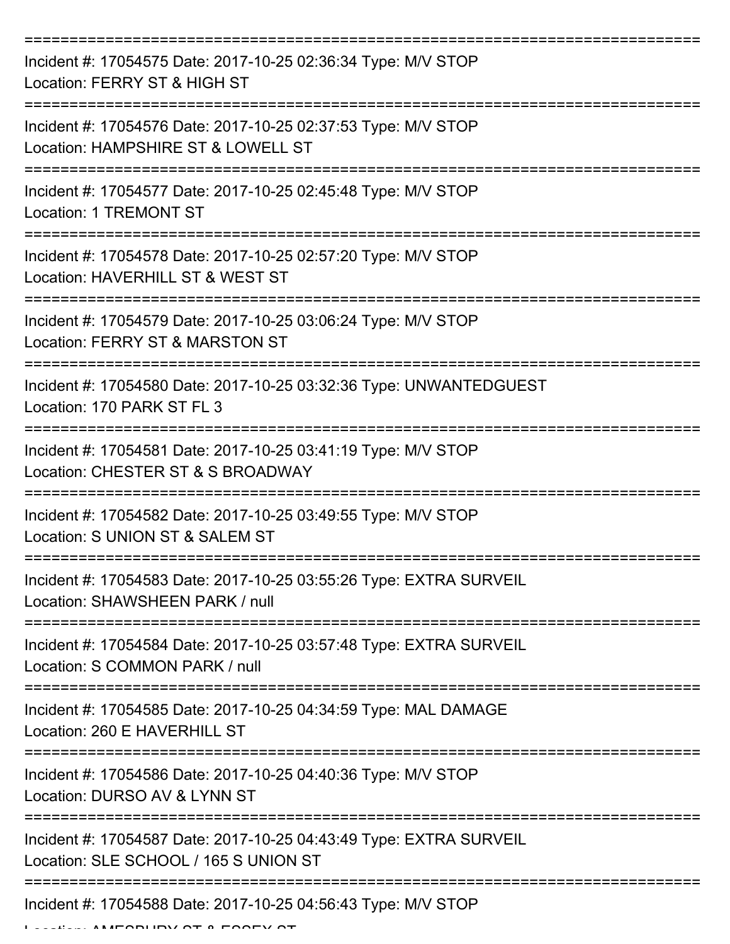| Incident #: 17054575 Date: 2017-10-25 02:36:34 Type: M/V STOP<br>Location: FERRY ST & HIGH ST               |
|-------------------------------------------------------------------------------------------------------------|
| Incident #: 17054576 Date: 2017-10-25 02:37:53 Type: M/V STOP<br>Location: HAMPSHIRE ST & LOWELL ST         |
| Incident #: 17054577 Date: 2017-10-25 02:45:48 Type: M/V STOP<br><b>Location: 1 TREMONT ST</b>              |
| Incident #: 17054578 Date: 2017-10-25 02:57:20 Type: M/V STOP<br>Location: HAVERHILL ST & WEST ST           |
| Incident #: 17054579 Date: 2017-10-25 03:06:24 Type: M/V STOP<br>Location: FERRY ST & MARSTON ST            |
| Incident #: 17054580 Date: 2017-10-25 03:32:36 Type: UNWANTEDGUEST<br>Location: 170 PARK ST FL 3            |
| Incident #: 17054581 Date: 2017-10-25 03:41:19 Type: M/V STOP<br>Location: CHESTER ST & S BROADWAY          |
| Incident #: 17054582 Date: 2017-10-25 03:49:55 Type: M/V STOP<br>Location: S UNION ST & SALEM ST            |
| Incident #: 17054583 Date: 2017-10-25 03:55:26 Type: EXTRA SURVEIL<br>Location: SHAWSHEEN PARK / null       |
| Incident #: 17054584 Date: 2017-10-25 03:57:48 Type: EXTRA SURVEIL<br>Location: S COMMON PARK / null        |
| Incident #: 17054585 Date: 2017-10-25 04:34:59 Type: MAL DAMAGE<br>Location: 260 E HAVERHILL ST             |
| Incident #: 17054586 Date: 2017-10-25 04:40:36 Type: M/V STOP<br>Location: DURSO AV & LYNN ST               |
| Incident #: 17054587 Date: 2017-10-25 04:43:49 Type: EXTRA SURVEIL<br>Location: SLE SCHOOL / 165 S UNION ST |
| Incident #: 17054588 Date: 2017-10-25 04:56:43 Type: M/V STOP                                               |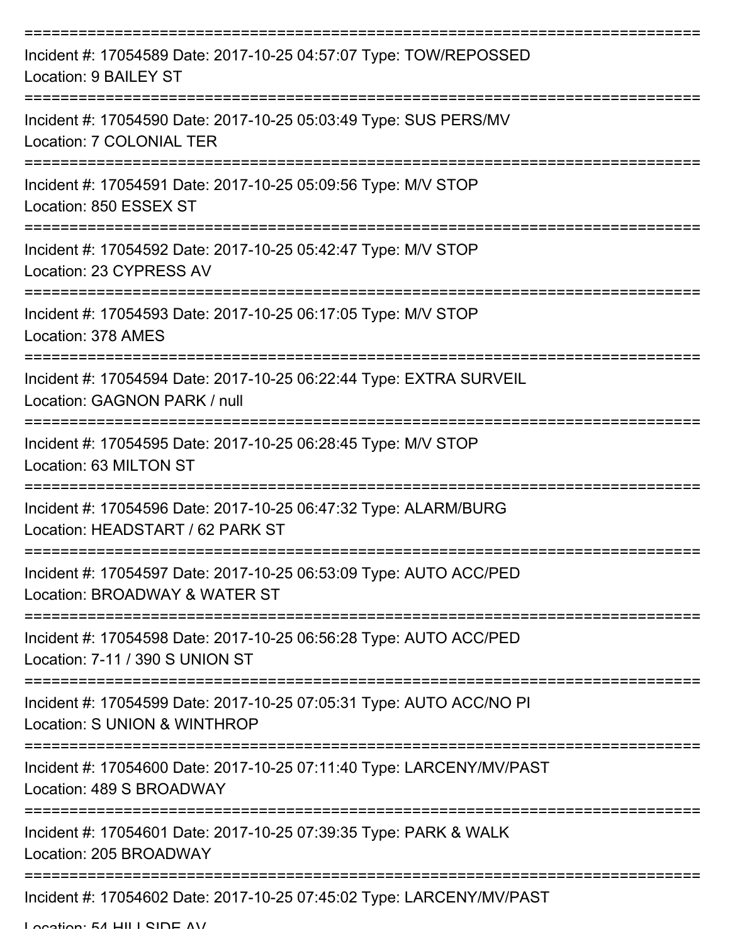| Incident #: 17054589 Date: 2017-10-25 04:57:07 Type: TOW/REPOSSED<br>Location: 9 BAILEY ST           |
|------------------------------------------------------------------------------------------------------|
| Incident #: 17054590 Date: 2017-10-25 05:03:49 Type: SUS PERS/MV<br>Location: 7 COLONIAL TER         |
| Incident #: 17054591 Date: 2017-10-25 05:09:56 Type: M/V STOP<br>Location: 850 ESSEX ST              |
| Incident #: 17054592 Date: 2017-10-25 05:42:47 Type: M/V STOP<br>Location: 23 CYPRESS AV             |
| Incident #: 17054593 Date: 2017-10-25 06:17:05 Type: M/V STOP<br>Location: 378 AMES                  |
| Incident #: 17054594 Date: 2017-10-25 06:22:44 Type: EXTRA SURVEIL<br>Location: GAGNON PARK / null   |
| Incident #: 17054595 Date: 2017-10-25 06:28:45 Type: M/V STOP<br>Location: 63 MILTON ST              |
| Incident #: 17054596 Date: 2017-10-25 06:47:32 Type: ALARM/BURG<br>Location: HEADSTART / 62 PARK ST  |
| Incident #: 17054597 Date: 2017-10-25 06:53:09 Type: AUTO ACC/PED<br>Location: BROADWAY & WATER ST   |
| Incident #: 17054598 Date: 2017-10-25 06:56:28 Type: AUTO ACC/PED<br>Location: 7-11 / 390 S UNION ST |
| Incident #: 17054599 Date: 2017-10-25 07:05:31 Type: AUTO ACC/NO PI<br>Location: S UNION & WINTHROP  |
| Incident #: 17054600 Date: 2017-10-25 07:11:40 Type: LARCENY/MV/PAST<br>Location: 489 S BROADWAY     |
| Incident #: 17054601 Date: 2017-10-25 07:39:35 Type: PARK & WALK<br>Location: 205 BROADWAY           |
| Incident #: 17054602 Date: 2017-10-25 07:45:02 Type: LARCENY/MV/PAST                                 |

Location: 54 HILL CIDE AV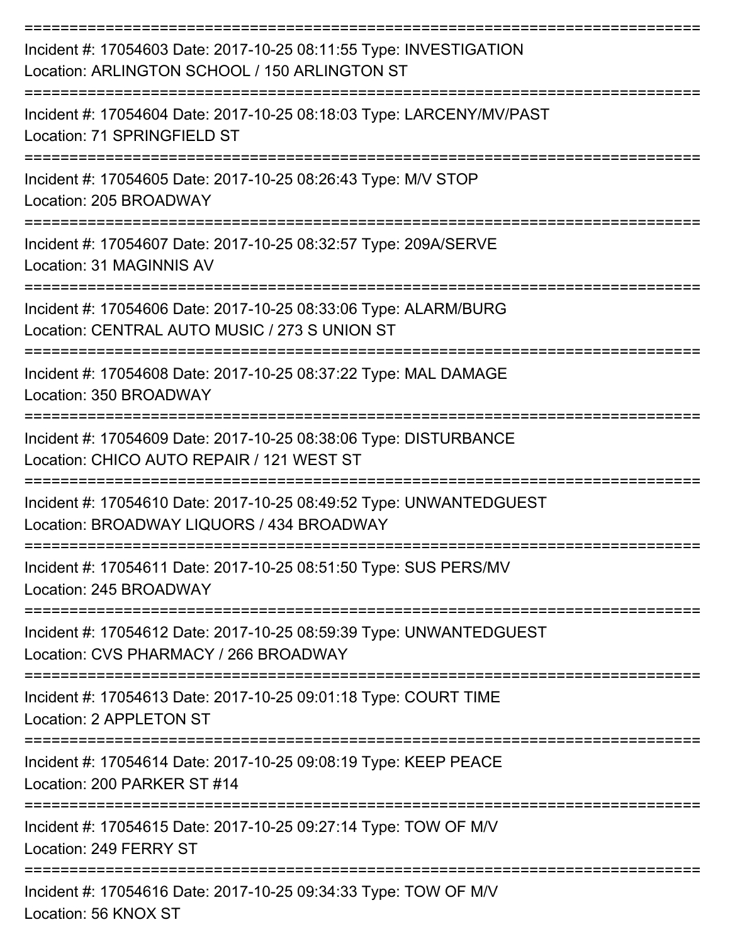| Incident #: 17054603 Date: 2017-10-25 08:11:55 Type: INVESTIGATION<br>Location: ARLINGTON SCHOOL / 150 ARLINGTON ST |
|---------------------------------------------------------------------------------------------------------------------|
| Incident #: 17054604 Date: 2017-10-25 08:18:03 Type: LARCENY/MV/PAST<br>Location: 71 SPRINGFIELD ST                 |
| Incident #: 17054605 Date: 2017-10-25 08:26:43 Type: M/V STOP<br>Location: 205 BROADWAY                             |
| Incident #: 17054607 Date: 2017-10-25 08:32:57 Type: 209A/SERVE<br>Location: 31 MAGINNIS AV                         |
| Incident #: 17054606 Date: 2017-10-25 08:33:06 Type: ALARM/BURG<br>Location: CENTRAL AUTO MUSIC / 273 S UNION ST    |
| Incident #: 17054608 Date: 2017-10-25 08:37:22 Type: MAL DAMAGE<br>Location: 350 BROADWAY                           |
| Incident #: 17054609 Date: 2017-10-25 08:38:06 Type: DISTURBANCE<br>Location: CHICO AUTO REPAIR / 121 WEST ST       |
| Incident #: 17054610 Date: 2017-10-25 08:49:52 Type: UNWANTEDGUEST<br>Location: BROADWAY LIQUORS / 434 BROADWAY     |
| Incident #: 17054611 Date: 2017-10-25 08:51:50 Type: SUS PERS/MV<br>Location: 245 BROADWAY                          |
| Incident #: 17054612 Date: 2017-10-25 08:59:39 Type: UNWANTEDGUEST<br>Location: CVS PHARMACY / 266 BROADWAY         |
| Incident #: 17054613 Date: 2017-10-25 09:01:18 Type: COURT TIME<br>Location: 2 APPLETON ST                          |
| Incident #: 17054614 Date: 2017-10-25 09:08:19 Type: KEEP PEACE<br>Location: 200 PARKER ST #14                      |
| Incident #: 17054615 Date: 2017-10-25 09:27:14 Type: TOW OF M/V<br>Location: 249 FERRY ST                           |
| Incident #: 17054616 Date: 2017-10-25 09:34:33 Type: TOW OF M/V<br>Location: 56 KNOX ST                             |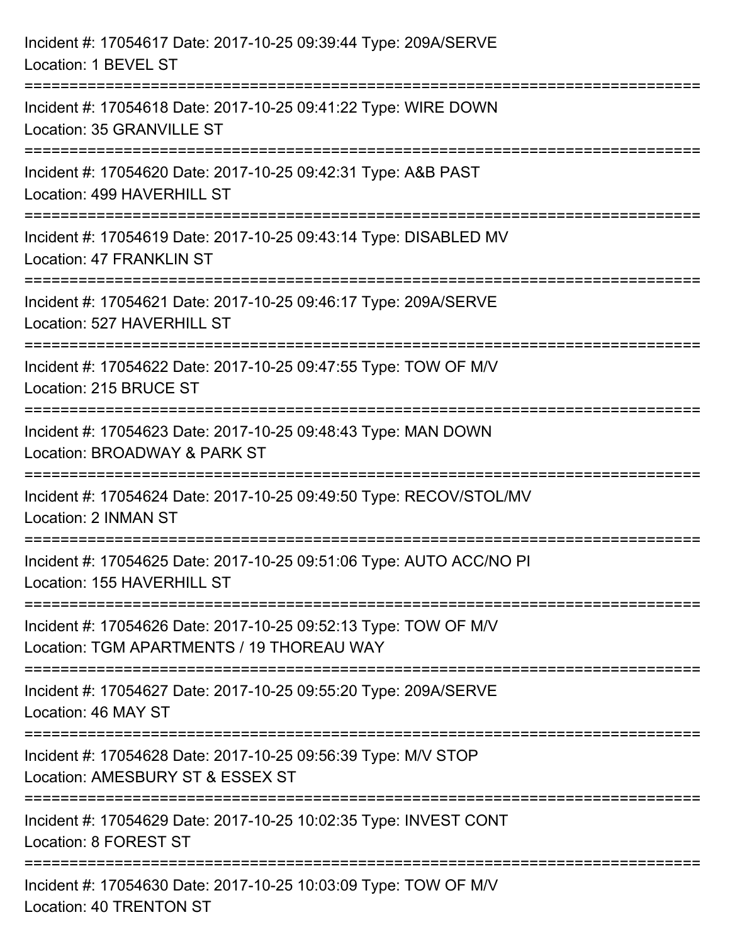| Incident #: 17054617 Date: 2017-10-25 09:39:44 Type: 209A/SERVE<br>Location: 1 BEVEL ST                               |
|-----------------------------------------------------------------------------------------------------------------------|
| Incident #: 17054618 Date: 2017-10-25 09:41:22 Type: WIRE DOWN<br>Location: 35 GRANVILLE ST                           |
| Incident #: 17054620 Date: 2017-10-25 09:42:31 Type: A&B PAST<br>Location: 499 HAVERHILL ST<br>:===================== |
| Incident #: 17054619 Date: 2017-10-25 09:43:14 Type: DISABLED MV<br>Location: 47 FRANKLIN ST                          |
| Incident #: 17054621 Date: 2017-10-25 09:46:17 Type: 209A/SERVE<br>Location: 527 HAVERHILL ST                         |
| Incident #: 17054622 Date: 2017-10-25 09:47:55 Type: TOW OF M/V<br>Location: 215 BRUCE ST                             |
| Incident #: 17054623 Date: 2017-10-25 09:48:43 Type: MAN DOWN<br>Location: BROADWAY & PARK ST                         |
| Incident #: 17054624 Date: 2017-10-25 09:49:50 Type: RECOV/STOL/MV<br>Location: 2 INMAN ST                            |
| Incident #: 17054625 Date: 2017-10-25 09:51:06 Type: AUTO ACC/NO PI<br>Location: 155 HAVERHILL ST                     |
| Incident #: 17054626 Date: 2017-10-25 09:52:13 Type: TOW OF M/V<br>Location: TGM APARTMENTS / 19 THOREAU WAY          |
| Incident #: 17054627 Date: 2017-10-25 09:55:20 Type: 209A/SERVE<br>Location: 46 MAY ST                                |
| Incident #: 17054628 Date: 2017-10-25 09:56:39 Type: M/V STOP<br>Location: AMESBURY ST & ESSEX ST                     |
| Incident #: 17054629 Date: 2017-10-25 10:02:35 Type: INVEST CONT<br>Location: 8 FOREST ST                             |
| Incident #: 17054630 Date: 2017-10-25 10:03:09 Type: TOW OF M/V<br>Location: 40 TRENTON ST                            |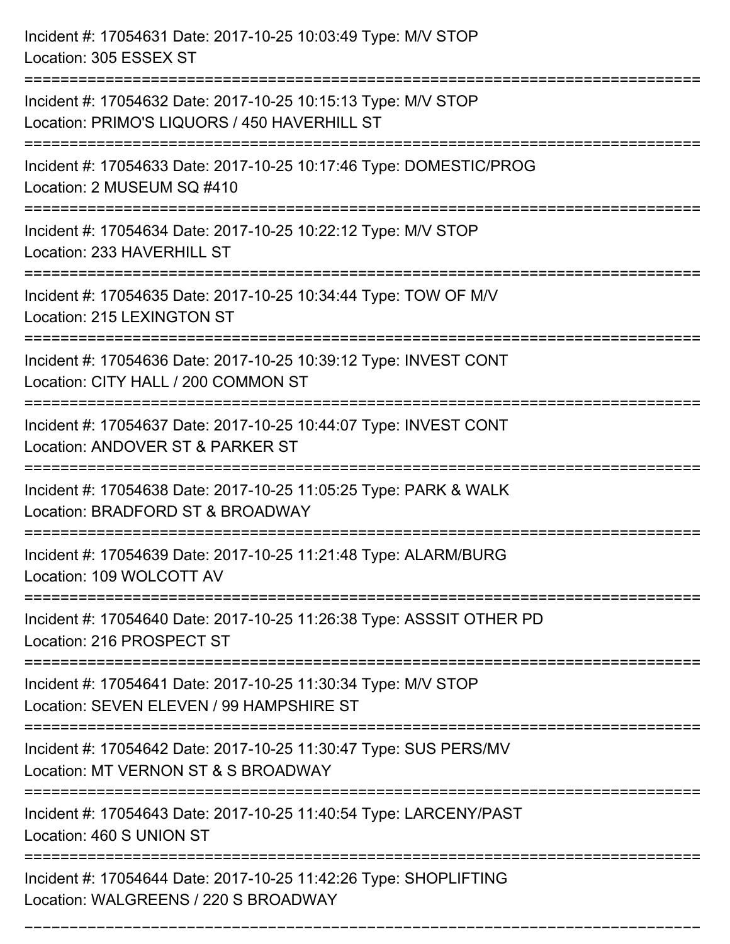| Incident #: 17054631 Date: 2017-10-25 10:03:49 Type: M/V STOP<br>Location: 305 ESSEX ST                                       |
|-------------------------------------------------------------------------------------------------------------------------------|
| Incident #: 17054632 Date: 2017-10-25 10:15:13 Type: M/V STOP<br>Location: PRIMO'S LIQUORS / 450 HAVERHILL ST                 |
| Incident #: 17054633 Date: 2017-10-25 10:17:46 Type: DOMESTIC/PROG<br>Location: 2 MUSEUM SQ #410                              |
| Incident #: 17054634 Date: 2017-10-25 10:22:12 Type: M/V STOP<br>Location: 233 HAVERHILL ST                                   |
| Incident #: 17054635 Date: 2017-10-25 10:34:44 Type: TOW OF M/V<br>Location: 215 LEXINGTON ST                                 |
| Incident #: 17054636 Date: 2017-10-25 10:39:12 Type: INVEST CONT<br>Location: CITY HALL / 200 COMMON ST                       |
| Incident #: 17054637 Date: 2017-10-25 10:44:07 Type: INVEST CONT<br>Location: ANDOVER ST & PARKER ST                          |
| Incident #: 17054638 Date: 2017-10-25 11:05:25 Type: PARK & WALK<br>Location: BRADFORD ST & BROADWAY                          |
| Incident #: 17054639 Date: 2017-10-25 11:21:48 Type: ALARM/BURG<br>Location: 109 WOLCOTT AV                                   |
| ========================<br>Incident #: 17054640 Date: 2017-10-25 11:26:38 Type: ASSSIT OTHER PD<br>Location: 216 PROSPECT ST |
| Incident #: 17054641 Date: 2017-10-25 11:30:34 Type: M/V STOP<br>Location: SEVEN ELEVEN / 99 HAMPSHIRE ST                     |
| Incident #: 17054642 Date: 2017-10-25 11:30:47 Type: SUS PERS/MV<br>Location: MT VERNON ST & S BROADWAY                       |
| Incident #: 17054643 Date: 2017-10-25 11:40:54 Type: LARCENY/PAST<br>Location: 460 S UNION ST                                 |
| Incident #: 17054644 Date: 2017-10-25 11:42:26 Type: SHOPLIFTING<br>Location: WALGREENS / 220 S BROADWAY                      |

===========================================================================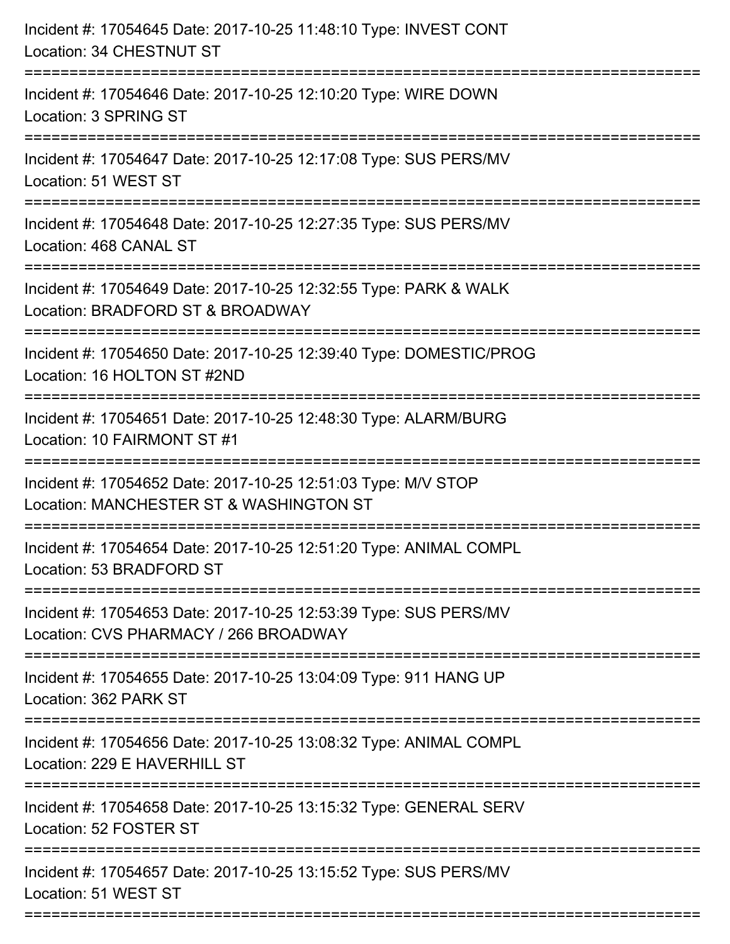| Incident #: 17054645 Date: 2017-10-25 11:48:10 Type: INVEST CONT<br>Location: 34 CHESTNUT ST              |
|-----------------------------------------------------------------------------------------------------------|
| Incident #: 17054646 Date: 2017-10-25 12:10:20 Type: WIRE DOWN<br>Location: 3 SPRING ST                   |
| Incident #: 17054647 Date: 2017-10-25 12:17:08 Type: SUS PERS/MV<br>Location: 51 WEST ST                  |
| Incident #: 17054648 Date: 2017-10-25 12:27:35 Type: SUS PERS/MV<br>Location: 468 CANAL ST                |
| Incident #: 17054649 Date: 2017-10-25 12:32:55 Type: PARK & WALK<br>Location: BRADFORD ST & BROADWAY      |
| Incident #: 17054650 Date: 2017-10-25 12:39:40 Type: DOMESTIC/PROG<br>Location: 16 HOLTON ST #2ND         |
| Incident #: 17054651 Date: 2017-10-25 12:48:30 Type: ALARM/BURG<br>Location: 10 FAIRMONT ST #1            |
| Incident #: 17054652 Date: 2017-10-25 12:51:03 Type: M/V STOP<br>Location: MANCHESTER ST & WASHINGTON ST  |
| Incident #: 17054654 Date: 2017-10-25 12:51:20 Type: ANIMAL COMPL<br>Location: 53 BRADFORD ST             |
| Incident #: 17054653 Date: 2017-10-25 12:53:39 Type: SUS PERS/MV<br>Location: CVS PHARMACY / 266 BROADWAY |
| Incident #: 17054655 Date: 2017-10-25 13:04:09 Type: 911 HANG UP<br>Location: 362 PARK ST                 |
| Incident #: 17054656 Date: 2017-10-25 13:08:32 Type: ANIMAL COMPL<br>Location: 229 E HAVERHILL ST         |
| Incident #: 17054658 Date: 2017-10-25 13:15:32 Type: GENERAL SERV<br>Location: 52 FOSTER ST               |
| Incident #: 17054657 Date: 2017-10-25 13:15:52 Type: SUS PERS/MV<br>Location: 51 WEST ST                  |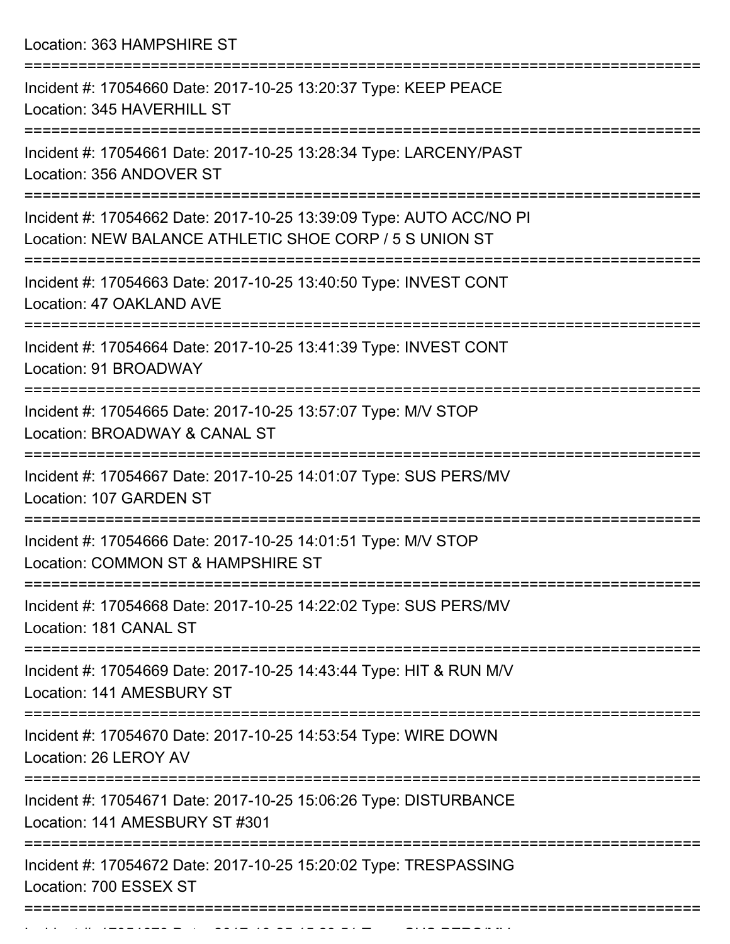Location: 363 HAMPSHIRE ST

| Incident #: 17054660 Date: 2017-10-25 13:20:37 Type: KEEP PEACE<br>Location: 345 HAVERHILL ST                                                              |
|------------------------------------------------------------------------------------------------------------------------------------------------------------|
| Incident #: 17054661 Date: 2017-10-25 13:28:34 Type: LARCENY/PAST<br>Location: 356 ANDOVER ST                                                              |
| Incident #: 17054662 Date: 2017-10-25 13:39:09 Type: AUTO ACC/NO PI<br>Location: NEW BALANCE ATHLETIC SHOE CORP / 5 S UNION ST                             |
| Incident #: 17054663 Date: 2017-10-25 13:40:50 Type: INVEST CONT<br>Location: 47 OAKLAND AVE                                                               |
| Incident #: 17054664 Date: 2017-10-25 13:41:39 Type: INVEST CONT<br>Location: 91 BROADWAY                                                                  |
| Incident #: 17054665 Date: 2017-10-25 13:57:07 Type: M/V STOP<br>Location: BROADWAY & CANAL ST                                                             |
| Incident #: 17054667 Date: 2017-10-25 14:01:07 Type: SUS PERS/MV<br>Location: 107 GARDEN ST                                                                |
| Incident #: 17054666 Date: 2017-10-25 14:01:51 Type: M/V STOP<br>Location: COMMON ST & HAMPSHIRE ST                                                        |
| Incident #: 17054668 Date: 2017-10-25 14:22:02 Type: SUS PERS/MV<br>Location: 181 CANAL ST                                                                 |
| :===================<br>===============================<br>Incident #: 17054669 Date: 2017-10-25 14:43:44 Type: HIT & RUN M/V<br>Location: 141 AMESBURY ST |
| Incident #: 17054670 Date: 2017-10-25 14:53:54 Type: WIRE DOWN<br>Location: 26 LEROY AV                                                                    |
| Incident #: 17054671 Date: 2017-10-25 15:06:26 Type: DISTURBANCE<br>Location: 141 AMESBURY ST #301                                                         |
| Incident #: 17054672 Date: 2017-10-25 15:20:02 Type: TRESPASSING<br>Location: 700 ESSEX ST                                                                 |
|                                                                                                                                                            |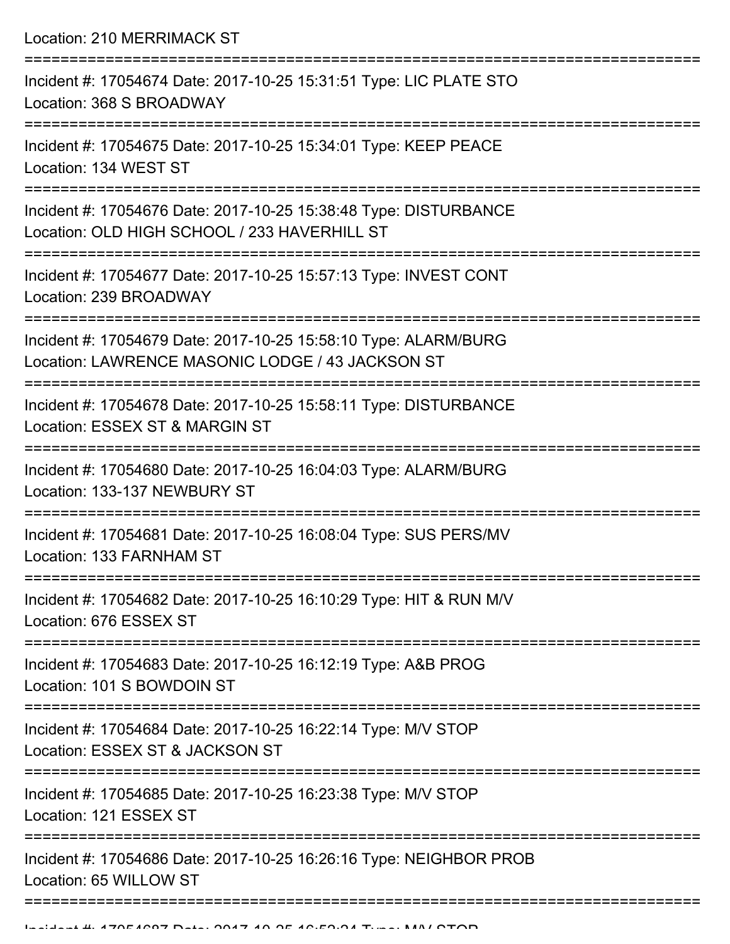Location: 210 MERRIMACK ST

| Incident #: 17054674 Date: 2017-10-25 15:31:51 Type: LIC PLATE STO<br>Location: 368 S BROADWAY                      |
|---------------------------------------------------------------------------------------------------------------------|
| Incident #: 17054675 Date: 2017-10-25 15:34:01 Type: KEEP PEACE<br>Location: 134 WEST ST                            |
| Incident #: 17054676 Date: 2017-10-25 15:38:48 Type: DISTURBANCE<br>Location: OLD HIGH SCHOOL / 233 HAVERHILL ST    |
| Incident #: 17054677 Date: 2017-10-25 15:57:13 Type: INVEST CONT<br>Location: 239 BROADWAY                          |
| Incident #: 17054679 Date: 2017-10-25 15:58:10 Type: ALARM/BURG<br>Location: LAWRENCE MASONIC LODGE / 43 JACKSON ST |
| Incident #: 17054678 Date: 2017-10-25 15:58:11 Type: DISTURBANCE<br>Location: ESSEX ST & MARGIN ST                  |
| Incident #: 17054680 Date: 2017-10-25 16:04:03 Type: ALARM/BURG<br>Location: 133-137 NEWBURY ST                     |
| Incident #: 17054681 Date: 2017-10-25 16:08:04 Type: SUS PERS/MV<br>Location: 133 FARNHAM ST                        |
| Incident #: 17054682 Date: 2017-10-25 16:10:29 Type: HIT & RUN M/V<br>Location: 676 ESSEX ST                        |
| ---------------<br>Incident #: 17054683 Date: 2017-10-25 16:12:19 Type: A&B PROG<br>Location: 101 S BOWDOIN ST      |
| Incident #: 17054684 Date: 2017-10-25 16:22:14 Type: M/V STOP<br>Location: ESSEX ST & JACKSON ST                    |
| Incident #: 17054685 Date: 2017-10-25 16:23:38 Type: M/V STOP<br>Location: 121 ESSEX ST                             |
| Incident #: 17054686 Date: 2017-10-25 16:26:16 Type: NEIGHBOR PROB<br>Location: 65 WILLOW ST                        |
|                                                                                                                     |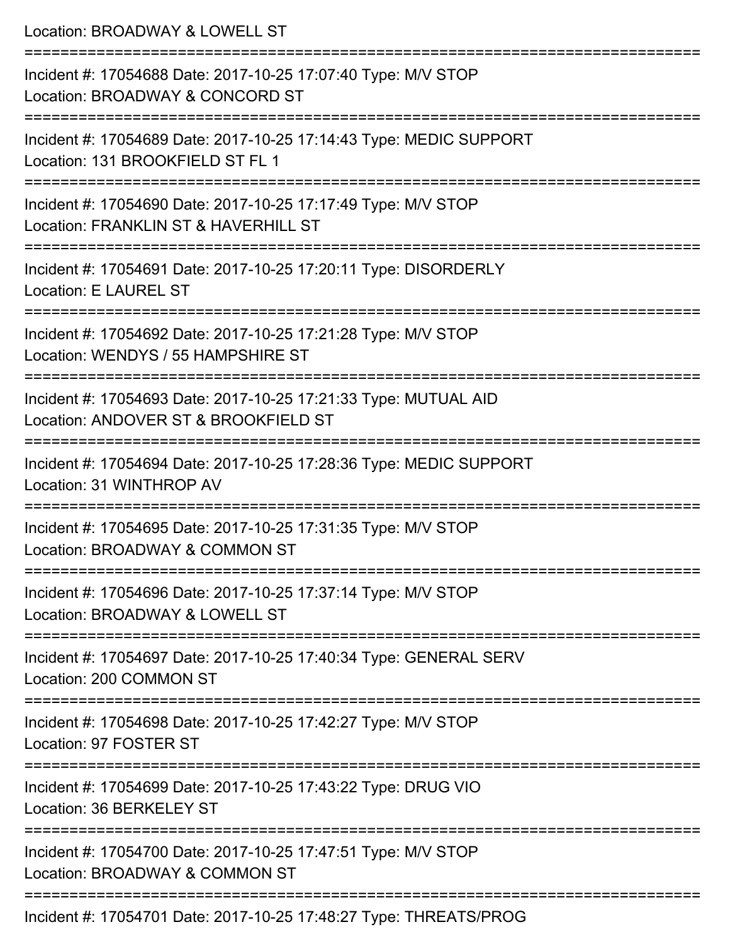| Location: BROADWAY & LOWELL ST                                                                                                             |
|--------------------------------------------------------------------------------------------------------------------------------------------|
| Incident #: 17054688 Date: 2017-10-25 17:07:40 Type: M/V STOP<br>Location: BROADWAY & CONCORD ST<br>:==================================    |
| Incident #: 17054689 Date: 2017-10-25 17:14:43 Type: MEDIC SUPPORT<br>Location: 131 BROOKFIELD ST FL 1                                     |
| Incident #: 17054690 Date: 2017-10-25 17:17:49 Type: M/V STOP<br>Location: FRANKLIN ST & HAVERHILL ST                                      |
| Incident #: 17054691 Date: 2017-10-25 17:20:11 Type: DISORDERLY<br>Location: E LAUREL ST                                                   |
| Incident #: 17054692 Date: 2017-10-25 17:21:28 Type: M/V STOP<br>Location: WENDYS / 55 HAMPSHIRE ST                                        |
| ===============================<br>Incident #: 17054693 Date: 2017-10-25 17:21:33 Type: MUTUAL AID<br>Location: ANDOVER ST & BROOKFIELD ST |
| Incident #: 17054694 Date: 2017-10-25 17:28:36 Type: MEDIC SUPPORT<br>Location: 31 WINTHROP AV                                             |
| Incident #: 17054695 Date: 2017-10-25 17:31:35 Type: M/V STOP<br>Location: BROADWAY & COMMON ST                                            |
| ==========================<br>Incident #: 17054696 Date: 2017-10-25 17:37:14 Type: M/V STOP<br>Location: BROADWAY & LOWELL ST              |
| Incident #: 17054697 Date: 2017-10-25 17:40:34 Type: GENERAL SERV<br>Location: 200 COMMON ST                                               |
| Incident #: 17054698 Date: 2017-10-25 17:42:27 Type: M/V STOP<br>Location: 97 FOSTER ST                                                    |
| Incident #: 17054699 Date: 2017-10-25 17:43:22 Type: DRUG VIO<br>Location: 36 BERKELEY ST                                                  |
| Incident #: 17054700 Date: 2017-10-25 17:47:51 Type: M/V STOP<br>Location: BROADWAY & COMMON ST                                            |
| Incident #: 17054701 Date: 2017-10-25 17:48:27 Type: THREATS/PROG                                                                          |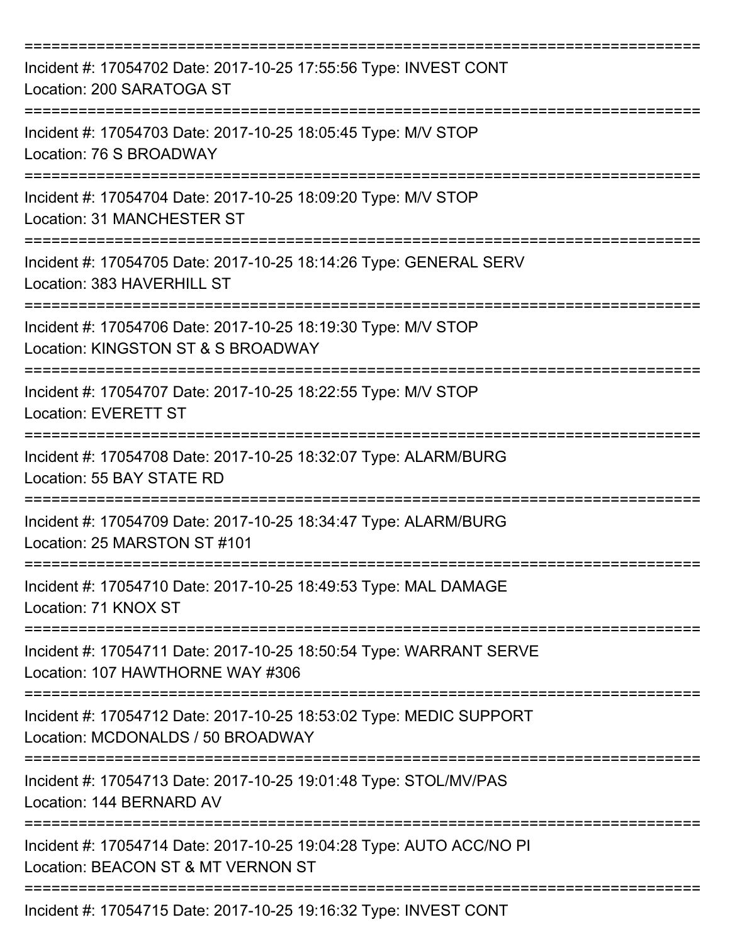| Incident #: 17054702 Date: 2017-10-25 17:55:56 Type: INVEST CONT<br>Location: 200 SARATOGA ST             |
|-----------------------------------------------------------------------------------------------------------|
| Incident #: 17054703 Date: 2017-10-25 18:05:45 Type: M/V STOP<br>Location: 76 S BROADWAY                  |
| Incident #: 17054704 Date: 2017-10-25 18:09:20 Type: M/V STOP<br><b>Location: 31 MANCHESTER ST</b>        |
| Incident #: 17054705 Date: 2017-10-25 18:14:26 Type: GENERAL SERV<br>Location: 383 HAVERHILL ST           |
| Incident #: 17054706 Date: 2017-10-25 18:19:30 Type: M/V STOP<br>Location: KINGSTON ST & S BROADWAY       |
| Incident #: 17054707 Date: 2017-10-25 18:22:55 Type: M/V STOP<br><b>Location: EVERETT ST</b>              |
| Incident #: 17054708 Date: 2017-10-25 18:32:07 Type: ALARM/BURG<br>Location: 55 BAY STATE RD              |
| Incident #: 17054709 Date: 2017-10-25 18:34:47 Type: ALARM/BURG<br>Location: 25 MARSTON ST #101           |
| Incident #: 17054710 Date: 2017-10-25 18:49:53 Type: MAL DAMAGE<br>Location: 71 KNOX ST                   |
| Incident #: 17054711 Date: 2017-10-25 18:50:54 Type: WARRANT SERVE<br>Location: 107 HAWTHORNE WAY #306    |
| Incident #: 17054712 Date: 2017-10-25 18:53:02 Type: MEDIC SUPPORT<br>Location: MCDONALDS / 50 BROADWAY   |
| Incident #: 17054713 Date: 2017-10-25 19:01:48 Type: STOL/MV/PAS<br>Location: 144 BERNARD AV              |
| Incident #: 17054714 Date: 2017-10-25 19:04:28 Type: AUTO ACC/NO PI<br>Location: BEACON ST & MT VERNON ST |
| Incident #: 17054715 Date: 2017-10-25 19:16:32 Type: INVEST CONT                                          |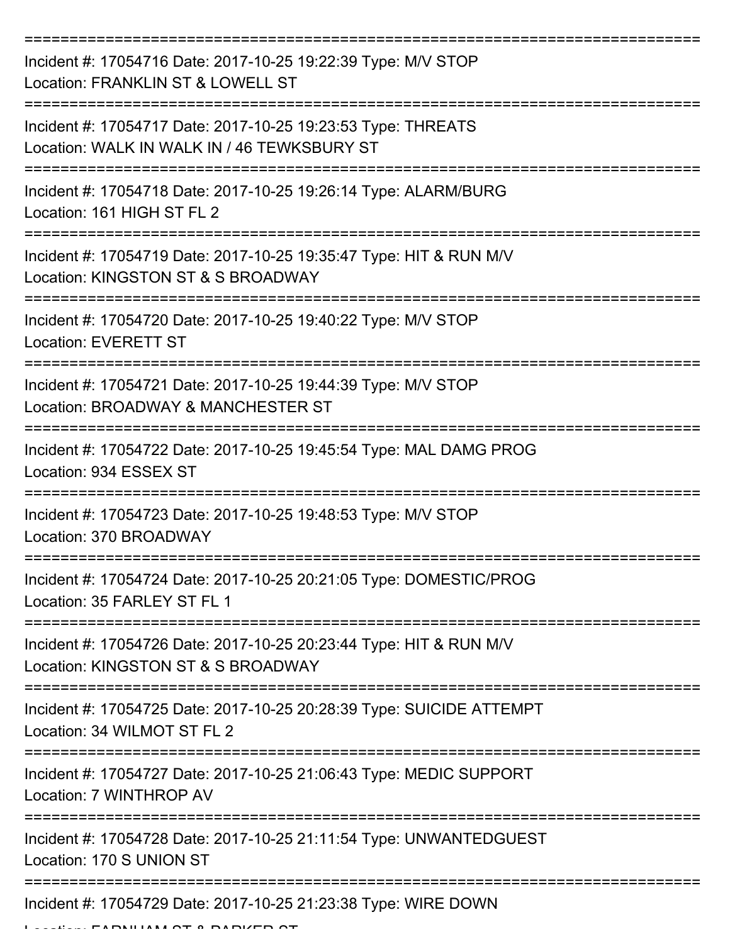| Incident #: 17054716 Date: 2017-10-25 19:22:39 Type: M/V STOP<br>Location: FRANKLIN ST & LOWELL ST                                |
|-----------------------------------------------------------------------------------------------------------------------------------|
| Incident #: 17054717 Date: 2017-10-25 19:23:53 Type: THREATS<br>Location: WALK IN WALK IN / 46 TEWKSBURY ST                       |
| Incident #: 17054718 Date: 2017-10-25 19:26:14 Type: ALARM/BURG<br>Location: 161 HIGH ST FL 2                                     |
| Incident #: 17054719 Date: 2017-10-25 19:35:47 Type: HIT & RUN M/V<br>Location: KINGSTON ST & S BROADWAY                          |
| Incident #: 17054720 Date: 2017-10-25 19:40:22 Type: M/V STOP<br><b>Location: EVERETT ST</b>                                      |
| Incident #: 17054721 Date: 2017-10-25 19:44:39 Type: M/V STOP<br>Location: BROADWAY & MANCHESTER ST                               |
| Incident #: 17054722 Date: 2017-10-25 19:45:54 Type: MAL DAMG PROG<br>Location: 934 ESSEX ST                                      |
| Incident #: 17054723 Date: 2017-10-25 19:48:53 Type: M/V STOP<br>Location: 370 BROADWAY                                           |
| Incident #: 17054724 Date: 2017-10-25 20:21:05 Type: DOMESTIC/PROG<br>Location: 35 FARLEY ST FL 1                                 |
| =====================<br>Incident #: 17054726 Date: 2017-10-25 20:23:44 Type: HIT & RUN M/V<br>Location: KINGSTON ST & S BROADWAY |
| Incident #: 17054725 Date: 2017-10-25 20:28:39 Type: SUICIDE ATTEMPT<br>Location: 34 WILMOT ST FL 2                               |
| Incident #: 17054727 Date: 2017-10-25 21:06:43 Type: MEDIC SUPPORT<br>Location: 7 WINTHROP AV                                     |
| Incident #: 17054728 Date: 2017-10-25 21:11:54 Type: UNWANTEDGUEST<br>Location: 170 S UNION ST                                    |
| =========================<br>Incident #: 17054729 Date: 2017-10-25 21:23:38 Type: WIRE DOWN<br><b>FADRUIAMATA DADIZED</b>         |